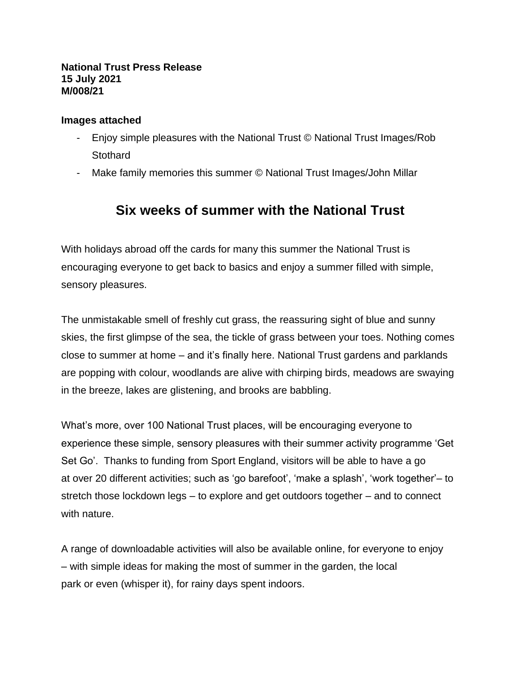#### **National Trust Press Release 15 July 2021 M/008/21**

#### **Images attached**

- Enjoy simple pleasures with the National Trust © National Trust Images/Rob **Stothard**
- Make family memories this summer © National Trust Images/John Millar

# **Six weeks of summer with the National Trust**

With holidays abroad off the cards for many this summer the National Trust is encouraging everyone to get back to basics and enjoy a summer filled with simple, sensory pleasures.

The unmistakable smell of freshly cut grass, the reassuring sight of blue and sunny skies, the first glimpse of the sea, the tickle of grass between your toes. Nothing comes close to summer at home – and it's finally here. National Trust gardens and parklands are popping with colour, woodlands are alive with chirping birds, meadows are swaying in the breeze, lakes are glistening, and brooks are babbling.

What's more, over 100 National Trust places, will be encouraging everyone to experience these simple, sensory pleasures with their summer activity programme 'Get Set Go'. Thanks to funding from Sport England, visitors will be able to have a go at over 20 different activities; such as 'go barefoot', 'make a splash', 'work together'– to stretch those lockdown legs – to explore and get outdoors together – and to connect with nature.

A range of downloadable activities will also be available online, for everyone to enjoy – with simple ideas for making the most of summer in the garden, the local park or even (whisper it), for rainy days spent indoors.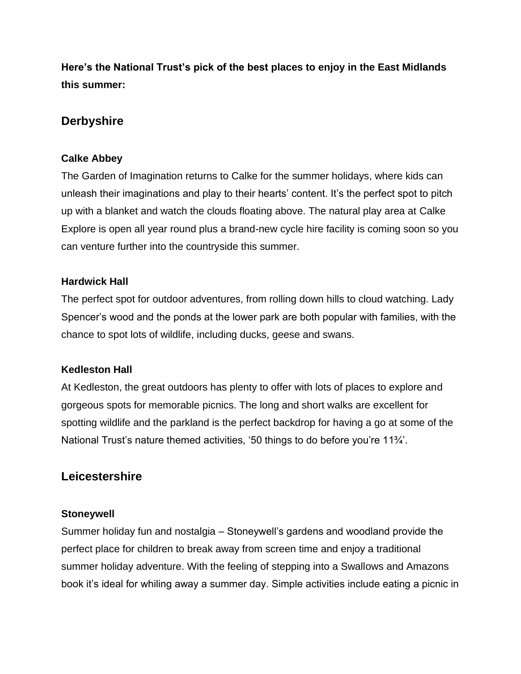**Here's the National Trust's pick of the best places to enjoy in the East Midlands this summer:**

# **Derbyshire**

# **Calke Abbey**

The Garden of Imagination returns to Calke for the summer holidays, where kids can unleash their imaginations and play to their hearts' content. It's the perfect spot to pitch up with a blanket and watch the clouds floating above. The natural play area at Calke Explore is open all year round plus a brand-new cycle hire facility is coming soon so you can venture further into the countryside this summer.

# **Hardwick Hall**

The perfect spot for outdoor adventures, from rolling down hills to cloud watching. Lady Spencer's wood and the ponds at the lower park are both popular with families, with the chance to spot lots of wildlife, including ducks, geese and swans.

# **Kedleston Hall**

At Kedleston, the great outdoors has plenty to offer with lots of places to explore and gorgeous spots for memorable picnics. The long and short walks are excellent for spotting wildlife and the parkland is the perfect backdrop for having a go at some of the National Trust's nature themed activities, '50 things to do before you're 11¾'.

# **Leicestershire**

# **Stoneywell**

Summer holiday fun and nostalgia – Stoneywell's gardens and woodland provide the perfect place for children to break away from screen time and enjoy a traditional summer holiday adventure. With the feeling of stepping into a Swallows and Amazons book it's ideal for whiling away a summer day. Simple activities include eating a picnic in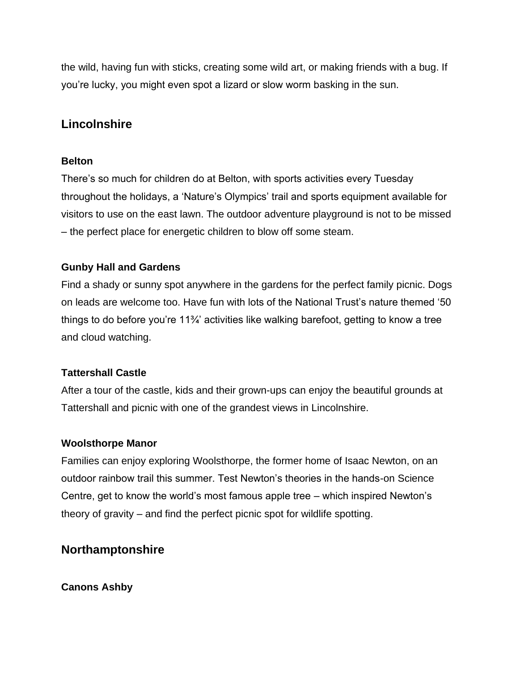the wild, having fun with sticks, creating some wild art, or making friends with a bug. If you're lucky, you might even spot a lizard or slow worm basking in the sun.

# **Lincolnshire**

#### **Belton**

There's so much for children do at Belton, with sports activities every Tuesday throughout the holidays, a 'Nature's Olympics' trail and sports equipment available for visitors to use on the east lawn. The outdoor adventure playground is not to be missed – the perfect place for energetic children to blow off some steam.

# **Gunby Hall and Gardens**

Find a shady or sunny spot anywhere in the gardens for the perfect family picnic. Dogs on leads are welcome too. Have fun with lots of the National Trust's nature themed '50 things to do before you're 11¾' activities like walking barefoot, getting to know a tree and cloud watching.

# **Tattershall Castle**

After a tour of the castle, kids and their grown-ups can enjoy the beautiful grounds at Tattershall and picnic with one of the grandest views in Lincolnshire.

# **Woolsthorpe Manor**

Families can enjoy exploring Woolsthorpe, the former home of Isaac Newton, on an outdoor rainbow trail this summer. Test Newton's theories in the hands-on Science Centre, get to know the world's most famous apple tree – which inspired Newton's theory of gravity – and find the perfect picnic spot for wildlife spotting.

# **Northamptonshire**

# **Canons Ashby**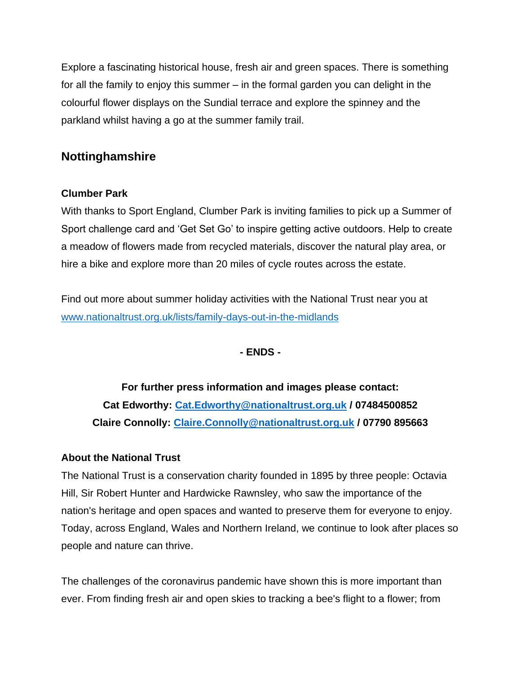Explore a fascinating historical house, fresh air and green spaces. There is something for all the family to enjoy this summer – in the formal garden you can delight in the colourful flower displays on the Sundial terrace and explore the spinney and the parkland whilst having a go at the summer family trail.

# **Nottinghamshire**

# **Clumber Park**

With thanks to Sport England, Clumber Park is inviting families to pick up a Summer of Sport challenge card and 'Get Set Go' to inspire getting active outdoors. Help to create a meadow of flowers made from recycled materials, discover the natural play area, or hire a bike and explore more than 20 miles of cycle routes across the estate.

Find out more about summer holiday activities with the National Trust near you at [www.nationaltrust.org.uk/lists/family-days-out-in-the-midlands](http://www.nationaltrust.org.uk/lists/family-days-out-in-the-midlands)

**- ENDS -**

**For further press information and images please contact: Cat Edworthy: [Cat.Edworthy@nationaltrust.org.uk](mailto:Cat.Edworthy@nationaltrust.org.uk) / 07484500852 Claire Connolly: [Claire.Connolly@nationaltrust.org.uk](mailto:Claire.Connolly@nationaltrust.org.uk) / 07790 895663**

# **About the National Trust**

The National Trust is a conservation charity founded in 1895 by three people: Octavia Hill, Sir Robert Hunter and Hardwicke Rawnsley, who saw the importance of the nation's heritage and open spaces and wanted to preserve them for everyone to enjoy. Today, across England, Wales and Northern Ireland, we continue to look after places so people and nature can thrive.

The challenges of the coronavirus pandemic have shown this is more important than ever. From finding fresh air and open skies to tracking a bee's flight to a flower; from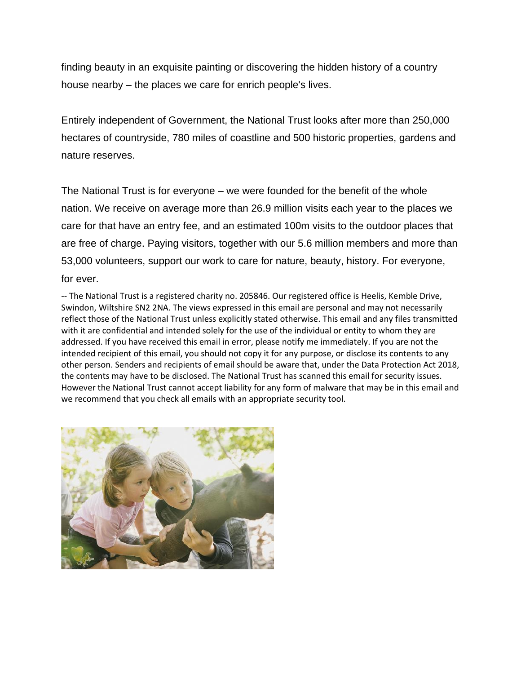finding beauty in an exquisite painting or discovering the hidden history of a country house nearby – the places we care for enrich people's lives.

Entirely independent of Government, the National Trust looks after more than 250,000 hectares of countryside, 780 miles of coastline and 500 historic properties, gardens and nature reserves.

The National Trust is for everyone – we were founded for the benefit of the whole nation. We receive on average more than 26.9 million visits each year to the places we care for that have an entry fee, and an estimated 100m visits to the outdoor places that are free of charge. Paying visitors, together with our 5.6 million members and more than 53,000 volunteers, support our work to care for nature, beauty, history. For everyone, for ever.

-- The National Trust is a registered charity no. 205846. Our registered office is Heelis, Kemble Drive, Swindon, Wiltshire SN2 2NA. The views expressed in this email are personal and may not necessarily reflect those of the National Trust unless explicitly stated otherwise. This email and any files transmitted with it are confidential and intended solely for the use of the individual or entity to whom they are addressed. If you have received this email in error, please notify me immediately. If you are not the intended recipient of this email, you should not copy it for any purpose, or disclose its contents to any other person. Senders and recipients of email should be aware that, under the Data Protection Act 2018, the contents may have to be disclosed. The National Trust has scanned this email for security issues. However the National Trust cannot accept liability for any form of malware that may be in this email and we recommend that you check all emails with an appropriate security tool.